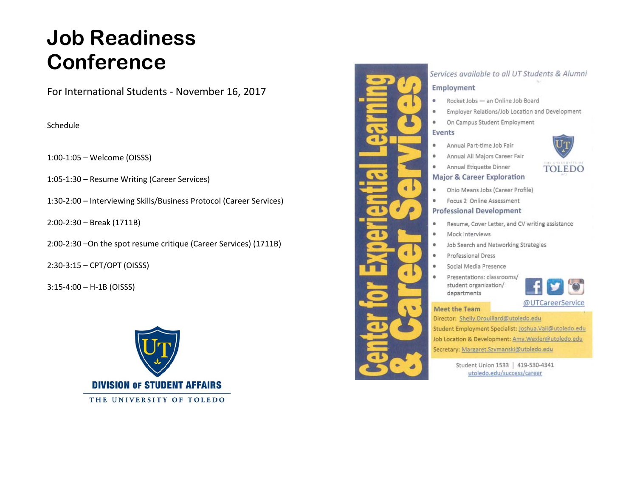# **Job Readiness Conference**

For International Students ‐ November 16, 2017

Schedule

1:00‐1:05 – Welcome (OISSS)

1:05‐1:30 – Resume Writing (Career Services)

1:30‐2:00 – Interviewing Skills/Business Protocol (Career Services)

2:00‐2:30 – Break (1711B)

2:00‐2:30 –On the spot resume critique (Career Services) (1711B)

2:30‐3:15 – CPT/OPT (OISSS)

3:15‐4:00 – H‐1B (OISSS)





## Services available to all UT Students & Alumni

#### Employment

- Rocket Jobs an Online Job Board
- $\bullet$ Employer Relations/Job Location and Development
- ۰ On Campus Student Employment

#### Events

 $\blacksquare$ 

- Annual Part-time Job Fair
- Annual All Majors Career Fair ۰
- Annual Etiquette Dinner ۰

## **Major & Career Exploration**

- Ohio Means Jobs (Career Profile)  $\bullet$
- Focus 2 Online Assessment ۰

#### **Professional Development**

- Resume, Cover Letter, and CV writing assistance ۰
- ۰ Mock Interviews
- Job Search and Networking Strategies ۰
- Professional Dress ۰
- Social Media Presence
- Presentations: classrooms/ student organization/ departments



#### **Meet the Team**

Director: Shelly.Drouillard@utoledo.edu

- Student Employment Specialist: Joshua.Vail@utoledo.edu
- Job Location & Development: Amy.Wexler@utoledo.edu
- Secretary: Margaret.Szymanski@utoledo.edu

Student Union 1533 | 419-530-4341 utoledo.edu/success/career

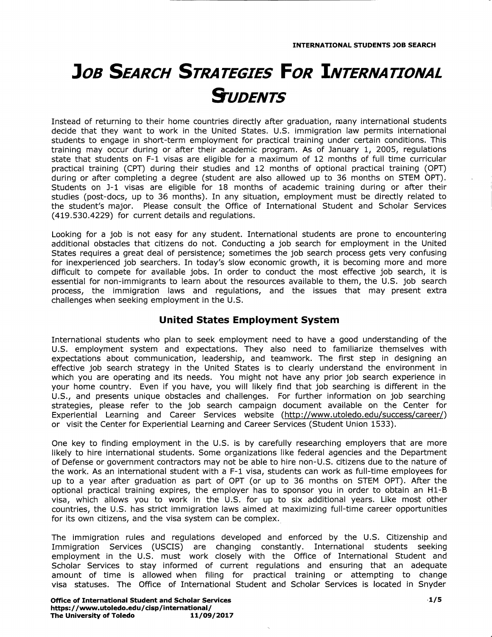## **JOB SEARCH STRATEGIES FOR INTERNATIONAL S**UDENTS

Instead of returning to their home countries directly after graduation, many international students decide that they want to work in the United States. U.S. immigration law permits international students to engage in short-term employment for practical training under certain conditions. This training may occur during or after their academic program. As of January 1, 2005, regulations state that students on F-1 visas are eligible for a maximum of 12 months of full time curricular practical training (CPT) during their studies and 12 months of optional practical training (OPT) during or after completing a degree (student are also allowed up to 36 months on STEM OPT). Students on J-1 visas are eligible for 18 months of academic training during or after their studies (post-docs, up to 36 months). In any situation, employment must be directly related to the student's major. Please consult the Office of International Student and Scholar Services (419.530.4229) for current details and regulations.

Looking for a job is not easy for any student. International students are prone to encountering additional obstacles that citizens do not. Conducting a job search for employment in the United States requires a great deal of persistence; sometimes the job search process gets very confusing for inexperienced job searchers. In today's slow economic growth, it is becoming more and more difficult to compete for available jobs. In order to conduct the most effective job search, it is essential for non-immigrants to learn about the resources available to them, the U.S. job search process, the immigration laws and regulations, and the issues that may present extra challenges when seeking employment in the U.S.

## United States Employment System

International students who plan to seek employment need to have a good understanding of the U.S. employment system and expectations. They also need to familiarize themselves with expectations about communication, leadership, and teamwork. The first step in designing an effective job search strategy in the United States is to clearly understand the environment in which you are operating and its needs. You might not have any prior job search experience in your home country. Even if you have, you will likely find that job searching is different in the U.S., and presents unique obstacles and challenges. For further information on job searching strategies, please refer to the job search campaign document available on the Center for Experiential Learning and Career Services website (http://www.utoledo.edu/success/career/) or visit the Center for Experiential Learning and Career Services (Student Union 1533).

One key to finding employment in the U.S. is by carefully researching employers that are more likely to hire international students. Some organizations like federal agencies and the Department of Defense or government contractors may not be able to hire non-U.S, citizens due to the nature of the work. As an international student with a F-1 visa, students can work as full-time employees for up to a year after graduation as part of OPT (or up to 36 months on STEM OPT). After the optional practical training expires, the employer has to sponsor you in order to obtain an H1-B visa, which allows you to work in the U.S. for up to six additional years. Like most other countries, the U.S. has strict immigration laws aimed at maximizing full-time career opportunities for its own citizens, and the visa system can be complex.

The immigration rules and regulations developed and enforced by the U.S. Citizenship and Immigration Services (USCIS) are changing constantly. International students seeking employment in the U.S. must work closely with the Office of International Student and Scholar Services to stay informed of current regulations and ensuring that an adequate amount of time is allowed when filing for practical training or attempting to change visa statuses. The Office of International Student and Scholar Services is located in Snyder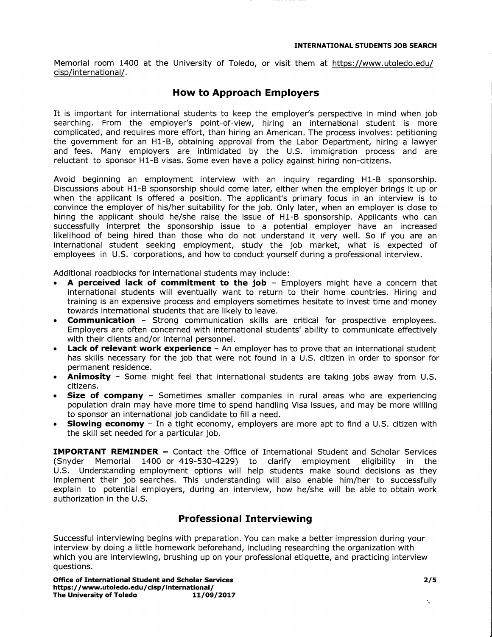Memorial room 1400 at the University of Toledo, or visit them at https'//www.utoledo.edu/ cisp/international/.

## How to Approach Employers

It is important for international students to keep the employer's perspective in mind when job searching. From the employer's point-of-view, hiring an international student is more complicated, and requires more effort, than hiring an American. The process involves: petitioning the government for an H1-B, obtaining approval from the Labor Department, hiring a lawyer and fees. Many employers are intimidated by the U.S. immigration process and are reluctant to sponsor H1-B visas. Some even have a policy against hiring non-citizens.

Avoid beginning an employment interview with an inquiry regarding H1-B sponsorship. Discussions about H1-B sponsorship should come later, either when the employer brings it up or when the applicant is offered a position. The applicant's primary focus in an interview is to convince the employer of his/her suitability for the job. Only later, when an employer is close to hiring the applicant should he/she raise the issue of H1-B sponsorship. Applicants who can successfully interpret the sponsorship issue to a potential employer have an increased likelihood of being hired than those who do not understand it very well. So if you are an international student seeking employment, study the job market, what is expected of employees in U.S. corporations, and how to conduct yourself during a professional interview.

Additional roadblocks for international students may include:

- A perceived lack of commitment to the job Employers might have a concern that international students will eventually want to return to their home countries. Hiring and training is an expensive process and employers sometimes hesitate to invest time and' money towards international students that are likely to leave.
- **Communication** Strong communication skills are critical for prospective employees. Employers are often concerned with international students' ability to communicate effectively with their clients and/or internal personnel.
- **Lack of relevant work experience** An employer has to prove that an international student has skills necessary for the job that were not found in a U.S. citizen in order to sponsor for permanent residence.
- Animosity Some might feel that international students are taking jobs away from U.S. citizens.
- **Size of company** Sometimes smaller companies in rural areas who are experiencing population drain may have more time to spend handling Visa issues, and may be more willing to sponsor an international job candidate to fill a need.
- **Slowing economy** In a tight economy, employers are more apt to find a U.S. citizen with the skill set needed for a particular job.

**IMPORTANT REMINDER -** Contact the Office of International Student and Scholar Services (Snyder Memorial 1400 or 419-530-4229) to clarify employment eligibility in the U.S. Understanding employment options will help students make sound decisions as they implement their job searches. This understanding will also enable him/her to successfully explain to potential employers, during an interview, how he/she will be able to obtain work authorization in the U.S.

## Professional Interviewing

Successful interviewing begins with preparation. You can make a better impression during your interview by doing a little homework beforehand, including researching the organization with which you are interviewing, brushing up on your professional etiquette, and practicing interview questions.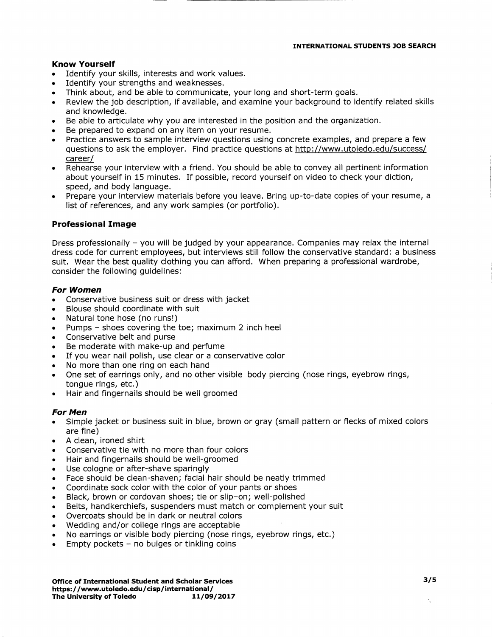## Know Yourself

- Identify your skills, interests and work values.
- Identify your strengths and weaknesses.
- Think about, and be able to communicate, your long and short-term goals.
- Review the job description, if available, and examine your background to identify related skills and knowledge.
- Be able to articulate why you are interested in the position and the organization.
- Be prepared to expand on any item on your resume.
- Practice answers to sample interview questions using concrete examples, and prepare a few questions to ask the employer. Find practice questions at http://www.utoledo.edu/success/ career/
- Rehearse your interview with a friend. You should be able to convey all pertinent information about yourself in 15 minutes. If possible, record yourself on video to check your diction, speed, and body language.
- Prepare your interview materials before you leave. Bring up-to-date copies of your resume, a list of references, and any work samples (or portfolio).

## Professional Image

Dress professionally - you will be judged by your appearance. Companies may relax the internal dress code for current employees, but interviews still follow the conservative standard: a business suit. Wear the best quality clothing you can afford. When preparing a professional wardrobe, consider the following guidelines:

## For Women

- Conservative business suit or dress with jacket
- Blouse should coordinate with suit
- Natural tone hose (no runs!)
- Pumps shoes covering the toe; maximum 2 inch heel
- Conservative belt and purse
- Be moderate with make-up and perfume
- If you wear nail polish, use clear or a conservative color
- No more than one ring on each hand
- One set of earrings only, and no other visible body piercing (nose rings, eyebrow rings, tongue rings, etc.)
- Hair and fingernails should be well groomed

### For Men

- Simple jacket or business suit in blue, brown or gray (small pattern or flecks of mixed colors are fine)
- A clean, ironed shirt
- Conservative tie with no more than four colors
- Hair and fingernails should be well-groomed
- Use cologne or after-shave sparingly
- Face should be clean-shaven; facial hair should be neatly trimmed
- Coordinate sock color with the color of your pants or shoes
- Black, brown or cordovan shoes; tie or slip-on; well-polished
- Belts, handkerchiefs, suspenders must match or complement your suit
- Overcoats should be in dark or neutral colors
- Wedding and/or college rings are acceptable
- No earrings or visible body piercing (nose rings, eyebrow rings, etc.)
- Empty pockets  $-$  no bulges or tinkling coins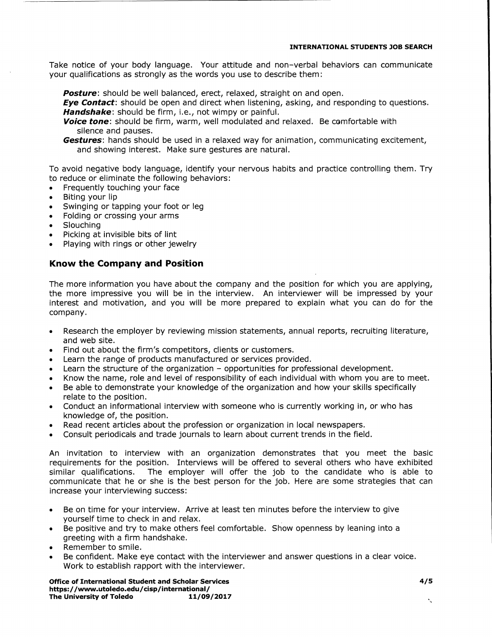### INTERNATIONAL STUDENTS JOB SEARCH

Take notice of your body language. Your attitude and non-verbal behaviors can communicate your qualifications as strongly as the words you use to describe them:

Posture: should be well balanced, erect, relaxed, straight on and open.

**Eye Contact:** should be open and direct when listening, asking, and responding to questions. Handshake: should be firm, i.e., not wimpy or painful.

Voice tone: should be firm, warm, well modulated and relaxed. Be comfortable with silence and pauses.

Gestures: hands should be used in a relaxed way for animation, communicating excitement, and showing interest. Make sure gestures are natural.

To avoid negative body language, identify your nervous habits and practice controlling them. Try to reduce or eliminate the following behaviors:

- Frequently touching your face
- Biting your lip
- Swinging or tapping your foot or leg
- Folding or crossing your arms
- Slouching
- Picking at invisible bits of lint
- Playing with rings or other jewelry

## Know the Company and Position

The more information you have about the company and the position for which you are applying, the more impressive you will be in the interview. An interviewer will be impressed by your interest and motivation, and you will be more prepared to explain what you can do for the company.

- Research the employer by reviewing mission statements, annual reports, recruiting literature, and web site.
- Find out about the firm's competitors, clients or customers.
- Learn the range of products manufactured or services provided.
- Learn the structure of the organization opportunities for professional development.
- Know the name, role and level of responsibility of each individual with whom you are to meet.
- Be able to demonstrate your knowledge of the organization and how your skills specifically relate to the position.
- Conduct an informational interview with someone who is currently working in, or who has knowledge of, the position.
- Read recent articles about the profession or organization in local newspapers.
- Consult periodicals and trade journals to learn about current trends in the field.

An invitation to interview with an organization demonstrates that you meet the basic requirements for the position. Interviews will be offered to several others who have exhibited similar qualifications. The employer will offer the job to the candidate who is able to communicate that he or she is the best person for the job. Here are some strategies that can increase your interviewing success:

- Be on time for your interview. Arrive at least ten minutes before the interview to give yourself time to check in and relax.
- Be positive and try to make others feel comfortable, show openness by leaning into a greeting with a firm handshake.
- Remember to smile.
- Be confident. Make eye contact with the interviewer and answer questions in a clear voice. Work to establish rapport with the interviewer.